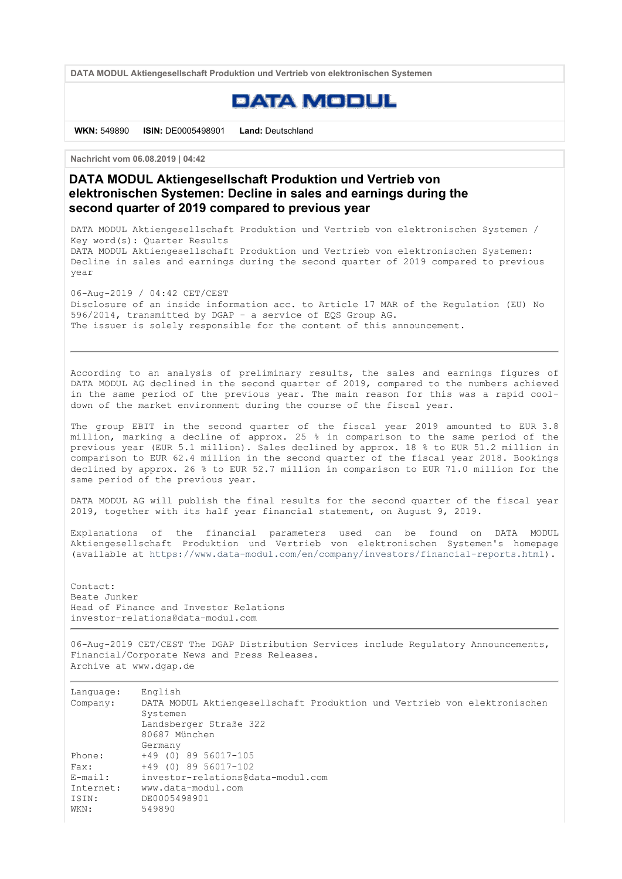DATA MODUL Aktiengesellschaft Produktion und Vertrieb von elektronischen Systemen

## **EATAMEEUL**

WKN: 549890 ISIN: DE0005498901 Land: Deutschland

Nachricht vom 06.08.2019 | 04:42

DATA MODUL Aktiengesellschaft Produktion und Vertrieb von elektronischen Systemen: Decline in sales and earnings during the second quarter of 2019 compared to previous year

DATA MODUL Aktiengesellschaft Produktion und Vertrieb von elektronischen Systemen / Key word(s): Quarter Results DATA MODUL Aktiengesellschaft Produktion und Vertrieb von elektronischen Systemen: Decline in sales and earnings during the second quarter of 2019 compared to previous year

06-Aug-2019 / 04:42 CET/CEST Disclosure of an inside information acc. to Article 17 MAR of the Regulation (EU) No 596/2014, transmitted by DGAP - a service of EQS Group AG. The issuer is solely responsible for the content of this announcement.

According to an analysis of preliminary results, the sales and earnings figures of DATA MODUL AG declined in the second quarter of 2019, compared to the numbers achieved in the same period of the previous year. The main reason for this was a rapid cooldown of the market environment during the course of the fiscal year.

The group EBIT in the second quarter of the fiscal year 2019 amounted to EUR 3.8 million, marking a decline of approx. 25 % in comparison to the same period of the previous year (EUR 5.1 million). Sales declined by approx. 18 % to EUR 51.2 million in comparison to EUR 62.4 million in the second quarter of the fiscal year 2018. Bookings declined by approx. 26 % to EUR 52.7 million in comparison to EUR 71.0 million for the same period of the previous year.

DATA MODUL AG will publish the final results for the second quarter of the fiscal year 2019, together with its half year financial statement, on August 9, 2019.

Explanations of the financial parameters used can be found on DATA MODUL Aktiengesellschaft Produktion und Vertrieb von elektronischen Systemen's homepage (available at https://www.data-modul.com/en/company/investors/financial-reports.html).

Contact: Beate Junker Head of Finance and Investor Relations investor-relations@data-modul.com

06-Aug-2019 CET/CEST The DGAP Distribution Services include Regulatory Announcements, Financial/Corporate News and Press Releases. Archive at www.dgap.de

| Language:<br>Company: | English<br>DATA MODUL Aktiengesellschaft Produktion und Vertrieb von elektronischen<br>Systemen |
|-----------------------|-------------------------------------------------------------------------------------------------|
|                       | Landsberger Straße 322                                                                          |
|                       | 80687 München                                                                                   |
|                       | Germany                                                                                         |
| Phone:                | $+49$ (0) 89 56017-105                                                                          |
| Fax:                  | $+49$ (0) 89 56017-102                                                                          |
| E-mail:               | investor-relations@data-modul.com                                                               |
| Internet:             | www.data-modul.com                                                                              |
| ISIN:                 | DE0005498901                                                                                    |
| WKN:                  | 549890                                                                                          |